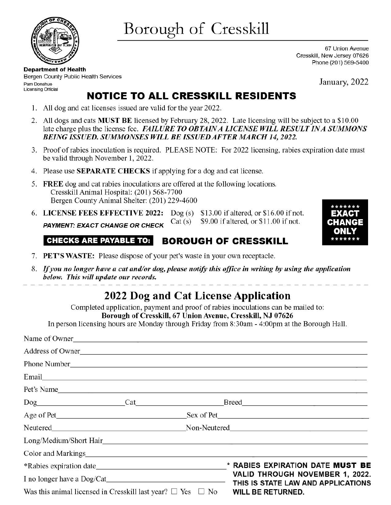

Borough of Cresskill

67 Union Avenue Cresskill, New Jersey 07626 Phone (201) 569-5400

**Department of Health**  Bergen County Public Health Services Pam Donahue Licensing Official

January, 2022

EXACT  $\blacksquare$ **CHANGE ONLY**  \*\*\*\*\*\*\*

## **NOTICE TO ALL CRESSKILL RESIDENTS**

- 1. All dog and cat licenses issued are valid for the year 2022.
- 2. All dogs and cats **MUST BE** licensed by February 28, 2022. Late licensing will be subject to a \$10.00 late charge plus the license fee. *FAILURE TO OBTAIN A LICENSE WILL RESULT IN A SUMMONS BEING ISSUED. SUMMONSES WILL BE ISSUED AFTER MARCH 14, 2022.*
- 3. Proof of rabies inoculation is required. PLEASE NOTE: For 2022 licensing, rabies expiration date must be valid through November 1, 2022.
- 4. Please use **SEPARATE CHECKS** if applying for a dog and cat license.
- 5. **FREE** dog and cat rabies inoculations are offered at the following locations. Cresskill Animal Hospital: (201) 568-7700 Bergen County Animal Shelter: (201) 229-4600
- 6. **LICENSE FEES EFFECTIVE 2022:** Dog (s) \$13.00 if altered, or \$16.00 if not. **PAYMENT: EXACT CHANGE OR CHECK** Cat (s) \$9.00 if altered, or \$11.00 if not.

## **CHECKS ARE PAYABLE TO: BOROUGH OF CRESSKILL**

- 7. **PET'S WASTE:** Please dispose of your pet's waste in your own receptacle.
- 8. If you no longer have a cat and/or dog, please notify this office in writing by using the application *below. This will update our records.*

## **2022 Dog and Cat License Application**

Completed application, payment and proof of rabies inoculations can be mailed to: **Borough of Cresskill, 67 Union Avenue, Cresskill, NJ 07626** 

In person licensing hours are Monday through Friday from 8:30am - 4:00pm at the Borough Hall.

| Name of Owner                                                                                                                                                                                                                  |                                    |  |                                                                                                   |  |
|--------------------------------------------------------------------------------------------------------------------------------------------------------------------------------------------------------------------------------|------------------------------------|--|---------------------------------------------------------------------------------------------------|--|
| Address of Owner                                                                                                                                                                                                               |                                    |  |                                                                                                   |  |
|                                                                                                                                                                                                                                |                                    |  |                                                                                                   |  |
| Email explorer and the contract of the contract of the contract of the contract of the contract of the contract of the contract of the contract of the contract of the contract of the contract of the contract of the contrac |                                    |  |                                                                                                   |  |
|                                                                                                                                                                                                                                |                                    |  | Pet's Name                                                                                        |  |
|                                                                                                                                                                                                                                |                                    |  | Dog Cat Breed Breed                                                                               |  |
|                                                                                                                                                                                                                                |                                    |  |                                                                                                   |  |
|                                                                                                                                                                                                                                | Neutered Non-Neutered Non-Neutered |  |                                                                                                   |  |
|                                                                                                                                                                                                                                |                                    |  | Long/Medium/Short Hair                                                                            |  |
|                                                                                                                                                                                                                                |                                    |  |                                                                                                   |  |
|                                                                                                                                                                                                                                |                                    |  | * RABIES EXPIRATION DATE MUST BE                                                                  |  |
|                                                                                                                                                                                                                                |                                    |  | VALID THROUGH NOVEMBER 1, 2022.<br>THIS IS STATE LAW AND APPLICATIONS<br><b>WILL BE RETURNED.</b> |  |
| Was this animal licensed in Cresskill last year? $\Box$ Yes $\Box$ No                                                                                                                                                          |                                    |  |                                                                                                   |  |